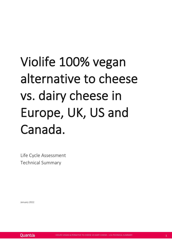# Violife 100% vegan alternative to cheese vs. dairy cheese in Europe, UK, US and Canada.

Life Cycle Assessment Technical Summary

January 2022

**Ouantis**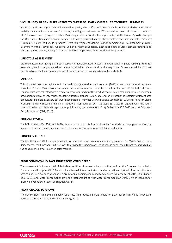## **VIOLIFE 100% VEGAN ALTERNATIVE TO CHEESE VS. DAIRY CHEESE. LCA TECHNICAL SUMMARY**

Violife is a world leading vegan brand, owned by Upfield, which offers a range of versatile products including alternatives to dairy cheese which can be used for cooking or eating on their own. In 2022, Quantis was commissioned to conduct a Life Cycle Assessment (LCA) of of certain Violife vegan alternatives to cheese products ("Violife Product") sold in Europe, the UK, United States, and Canada, compared to dairy (cow and sheep) cheese sold in the same markets. The study included 20 Violife Products (a "product" refers to a recipe / packaging /market combination). This document provides a summary of the study scope, functional unit and system boundaries, method and data sources, climate footprint and land occupation results, and equivalencies used for comparative claims for the Violife products.

## <span id="page-2-0"></span>**LIFE CYCLE ASSESSMENT**

Life cycle assessment (LCA) is a metric-based methodology used to assess environmental impacts resulting from, for example, greenhouse gas emissions, waste production, water, land, and energy use. Environmental impacts are calculated over the life cycle of a product, from extraction of raw materials to the end-of-life.

#### <span id="page-2-1"></span>**METHOD**

This study followed the regionalized LCA methodology described by Liao et al. (2020) to compare the environmental impacts of 1 kg of Violife Products against the same amount of dairy cheese sold in Europe, UK, United States and Canada. Data was collected with a cradle-to-grave approach for the product recipe, key ingredients sourcing countries, production factory, energy mixes, packaging designs, transportation, and end-of-life scenarios. Spatially differentiated agricultural life cycle inventory data were generated (archetypes), as well as land use change (LUC) emissions for Violife Products to dairy cheese using an attributional approach as per PAS 2050 (BSI, 2012), aligned with the latest international standards for dairy products, published by the International Dairy Federation (IDF, 2015) and the European Dairy Association (EDA, 2016).

#### <span id="page-2-2"></span>**CRITICAL REVIEW**

The LCA respects ISO 14040 and 14044 standards for public disclosure of results. The study has been peer reviewed by a panel of three independent experts on topics such as LCA, agronomy and dairy production.

#### <span id="page-2-3"></span>**FUNCTIONAL UNIT**

The functional unit (FU) is a reference unit for which all results are calculated and presented. For Violife Products and dairy cheese, the functional unit (FU) was to provide the function of 1 kg of cheese or cheese alternative, packaged, at the consumer's home, in a given sales market.

### <span id="page-2-4"></span>**ENVIRONMENTAL IMPACT INDICATORS CONSIDERED**

The assessment includes a total of 16 indicators: 14 environmental impact indicators from the European Commission Environmental Footprint (EF) 3.0 method and two additional indicators: land occupation ( $m^2$ .y), which reflects the total area of land used over one year and is a proxy for biodiversity and ecosystem services (Nemecek et al. 2011, Milà i Canals et al. 2012), and water consumption (m<sup>3</sup>), the total amount of fresh water consumed (ISO 14046), which includes, for example, evapotranspiration of irrigation water.

## <span id="page-2-5"></span>**FROM CRADLE-TO-GRAVE**

The LCA considers all identifiable activities across the product life cycle (cradle-to-grave) for certain Violife Products in Europe, UK, United States and Canada (see Figure 1).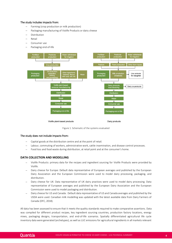#### The study includes impacts from:

- − Farming (crop production or milk production)
- Packaging manufacturing of Violife Products or dairy cheese
- − Distribution
- − Retail
- − Consumer use
- − Packaging end-of-life



Figure 1. Schematic of the systems evaluated

#### The study does not include impacts from:

- Capital goods at the distribution centre and at the point of retail.
- Labour, commuting of workers, administrative work, cattle insemination, and disease control processes.
- Food loss and food waste during distribution, at retail point and at the consumer's home.

## <span id="page-3-0"></span>**DATA COLLECTION AND MODELLING**

- − Violife Products: primary data for the recipes and ingredient sourcing for Violife Products were provided by Violife.
- Dairy cheese for Europe: Default data representative of European averages and published by the European Dairy Association and the European Commission were used to model dairy processing, packaging, and distribution.
- Dairy cheese for UK: Data representative of UK dairy practices were used to model dairy processing. Data representative of European averages and published by the European Dairy Association and the European Commission were used to model packaging and distribution.
- Dairy cheese for US and Canada: Default data representative of US and Canada averages and published by the USDA were used. Canadian milk modelling was updated with the latest available data from Dairy Farmers of Canada (DFC, 2018).

All data has been assessed to ensure that it meets the quality standards required to make comparative assertions. Data was compiled for different product recipes, key ingredient sourcing countries, production factory locations, energy mixes, packaging designs, transportation, and end-of-life scenarios. Spatially differentiated agricultural life cycle inventory data were generated (archetypes), as well as LUC emissions for agricultural ingredients in all markets relevant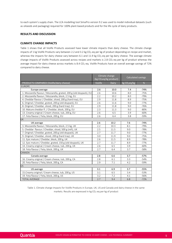to each system's supply chain. The LCA modelling tool SimaPro version 9.2 was used to model individual datasets (such as oilseeds and packaging) required for 100% plant-based products and for the life cycle of dairy products.

## <span id="page-4-0"></span>**RESULTS AND DISCUSSION**

## <span id="page-4-1"></span>**CLIMATE CHANGE IMPACTS**

Table 1 shows that all Violife Products assessed have lower climate impacts than dairy cheese. The climate change impacts of 1 kg Violife Products vary between 2.2 and 3.2 kg CO<sub>2</sub>-eq per kg of product depending on recipe and market, whereas the impacts for dairy cheese vary between 6.1 and 11.9 kg  $CO<sub>2</sub>$ -eq per kg dairy cheese. The average climate change impacts of Violife Products assessed across recipes and markets is 2.8 CO<sub>2</sub>-eq per kg of product whereas the average impact for dairy cheese across markets is 8.4 CO<sub>2</sub>-eq. Violife Products have an overall average savings of 72% compared to dairy cheese.

|                                                                     | Climate change<br>(kg CO <sub>2</sub> eq/kg product) |       | Calculated savings       |        |
|---------------------------------------------------------------------|------------------------------------------------------|-------|--------------------------|--------|
| PRODUCTS COMPARED (Violife/dairy cheese)                            | Violife                                              | Dairy | kg CO <sub>2</sub> eq/kg | %      |
| <b>EUROPE</b>                                                       |                                                      |       |                          |        |
| Europe average                                                      | 2.6                                                  | 10.0  | 7.4                      | $-74%$ |
| 1. Mozzarella flavour / Mozzarella, grated, 200 g (old doypack), EU | 2.6                                                  | 10.6  | 8.0                      | $-75%$ |
| 2. Mozzarella flavour / Mozzarella, block, 2.5 kg, EU               | 2.2                                                  | 10.2  | 8.0                      | $-79%$ |
| 4. Cheddar flavour / Cheddar, sliced, 200 g (hard tray), EU         | 2.9                                                  | 11.8  | 8.9                      | $-75%$ |
| 6. Original / Cheddar, grated, 200 g (old doypack), EU              | 2.6                                                  | 11.6  | 9.0                      | $-77%$ |
| 8. Original / Cheddar, sliced, 200 g (hard tray), EU                | 2.9                                                  | 11.8  | 9.0                      | $-76%$ |
| 10. Mature cheddar fl. / Cheddar, block, 200 g, EU                  | 2.3                                                  | 11.3  | 9.0                      | $-80%$ |
| 13. Creamy original / Cream cheese, tub, 200 g, EU                  | 2.6                                                  | 6.5   | 3.9                      | $-60%$ |
| 17. Feta flavour / Feta, block, 200 g, EU                           | 2.6                                                  | 6.4   | 3.8                      | $-59%$ |
| UK                                                                  |                                                      |       |                          |        |
| UK average                                                          | 2.6                                                  | 10.2  | 7.6                      | $-74%$ |
| 3. Mozzarella flavour / Mozzarella, block, 2.5 kg, UK               | 2.2                                                  | 10.3  | 8.1                      | $-79%$ |
| 5. Cheddar flavour / Cheddar, sliced, 500 g (refi), UK              | 2.5                                                  | 11.5  | 9.0                      | $-78%$ |
| 7. Original / Cheddar, grated, 200 g (old doypack), UK              | 2.7                                                  | 11.7  | 9.0                      | $-77%$ |
| 9. Original / Cheddar, sliced, 200 g (hard tray), UK                |                                                      | 11.9  | 9.0                      | $-75%$ |
| 11. Epic mature / Cheddar, block, 200 g, UK                         |                                                      | 11.5  | 8.9                      | $-78%$ |
| 12. Epic mature / Cheddar, grated, 150 g (old doypack), UK          |                                                      | 11.7  | 8.9                      | $-77%$ |
| 14. Creamy original / Cream cheese, tub, 200 g, UK                  | 2.6                                                  | 6.5   | 3.9                      | $-60%$ |
| 18. Feta flavour / Feta, block, 200 g, UK                           | 2.7                                                  | 6.4   | 3.7                      | $-58%$ |
| CANADA                                                              |                                                      |       |                          |        |
| Canada average                                                      | 2.8                                                  | 6.6   | 3.7                      | $-57%$ |
| 16. Creamy original / Cream cheese, tub, 200 g, CA                  | 2.8                                                  | 6.1   | 3.3                      | $-54%$ |
| 20. Feta flavour / Feta, block, 200 g, CA                           | 2.9                                                  | 7.1   | 4.2                      | $-59%$ |
| <b>US</b>                                                           |                                                      |       |                          |        |
| US average                                                          | 3.1                                                  | 6.9   | 3.7                      | $-55%$ |
| 15. Creamy original / Cream cheese, tub, 200 g, US                  | 3.1                                                  | 6.5   | 3.4                      | $-53%$ |
| 19. Feta flavour / Feta, block, 200 g, US                           | 3.2                                                  | 7.2   | 4.1                      | $-56%$ |
| <b>TOTAL AVERAGE</b>                                                | 2.7                                                  | 9.4   | 6.8                      | $-72%$ |

Table 1. Climate change impacts for Violife Products in Europe, UK, US and Canada and dairy cheese in the same markets. Results are expressed in kg CO2-eq per kg of product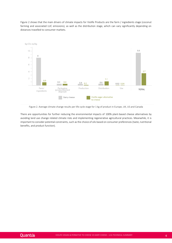Figure 2 shows that the main drivers of climate impacts for Violife Products are the farm / ingredients stage (coconut farming and associated LUC emissions), as well as the distribution stage, which can vary significantly depending on distances travelled to consumer markets.



Figure 2. Average climate change results per life cycle stage for 1 kg of product in Europe, UK, US and Canada

<span id="page-5-0"></span>There are opportunities for further reducing the environmental impacts of 100% plant-based cheese alternatives by avoiding land use change related climate risks and implementing regenerative agricultural practices. Meanwhile, it is important to consider potential constraints, such as the choice of oils based on consumer preferences (taste, nutritional benefits, and product function).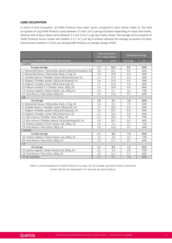# **LAND OCCUPATION**

In terms of land occupation, all Violife Products have lower results compared to dairy cheese (Table 2). The land occupation of 1 kg Violife Products varies between 1.5 and 2.1 $m^2$ . yper kg of product depending on recipe and market, whereas that of dairy cheese varies between 5.2 and 11.6 m<sup>2</sup>.y per kg of dairy cheese. The average land occupation of Violife Products across recipes and markets is 1.7  $m^2$ .y per kg of product whereas the average occupation for dairy cheese across markets is 7.6  $CO_2$ -eq, having Violife Products an average savings of 82%.

|                                                                     | Land occupation<br>(m <sup>2</sup> .y/kg product) |              | <b>Calculated savings</b> |        |
|---------------------------------------------------------------------|---------------------------------------------------|--------------|---------------------------|--------|
| PRODUCTS COMPARED (Violife/ dairy cheese)                           | Violife                                           | <b>Dairy</b> | $m2 \cdot y$ /kg          | %      |
| <b>EUROPE</b>                                                       |                                                   |              |                           |        |
| Europe average                                                      | 1.7                                               | 10.2         | 8.5                       | $-83%$ |
| 1. Mozzarella flavour / Mozzarella, grated, 200 g (old doypack), EU | 1.8                                               | 10.1         | 8.3                       | $-83%$ |
| 2. Mozzarella flavour / Mozzarella, block, 2.5 kg, EU               | 1.6                                               | 10.0         | 8.3                       | $-84%$ |
| 4. Cheddar flavour / Cheddar, sliced, 200 g (hard tray), EU         | 1.7                                               | 11.0         | 9.3                       | $-84%$ |
| 6. Original / Cheddar, grated, 200 g (old doypack), EU              | 1.8                                               | 11.0         | 9.3                       | $-84%$ |
| 8. Original / Cheddar, sliced, 200 g (hard tray), EU                | 1.7                                               | 11.0         | 9.3                       | $-84%$ |
| 10. Mature cheddar fl. / Cheddar, block, 200 g, EU                  | 1.5                                               | 10.9         | 9.4                       | $-86%$ |
| 13. Creamy original / Cream cheese, tub, 200 g, EU                  | 1.5                                               | 5.7          | 4.2                       | $-73%$ |
| 17. Feta flavour / Feta, block, 200 g, EU                           | 1.9                                               | 11.6         | 9.7                       | $-84%$ |
| <b>UK</b>                                                           |                                                   |              |                           |        |
| UK average                                                          | 1.8                                               | 9.5          | 7.8                       | $-81%$ |
| 3. Mozzarella flavour / Mozzarella, block, 2.5 kg, UK               | 1.6                                               | 9.1          | 7.5                       | $-82%$ |
| 5. Cheddar flavour / Cheddar, sliced, 500 g (refi), UK              | 1.7                                               | 10.0         | 8.4                       | $-83%$ |
| 7. Original / Cheddar, grated, 200 g (old doypack), UK              | 1.8                                               | 10.1         | 8.4                       | $-83%$ |
| 9. Original / Cheddar, sliced, 200 g (hard tray), UK                |                                                   | 10.1         | 8.4                       | $-83%$ |
| 11. Epic mature / Cheddar, block, 200 g, UK                         |                                                   | 10.0         | 7.9                       | $-79%$ |
| 12. Epic mature / Cheddar, grated, 150 g (old doypack), UK          |                                                   | 10.1         | 8.2                       | $-81%$ |
| 14. Creamy original / Cream cheese, tub, 200 g, UK                  | 1.5                                               | 5.2          | 3.7                       | $-71%$ |
| 18. Feta flavour / Feta, block, 200 g, UK                           | 1.9                                               | 11.6         | 9.7                       | $-84%$ |
| CANADA                                                              |                                                   |              |                           |        |
| Canada average                                                      | 1.7                                               | 8.8          | 7.0                       | $-81%$ |
| 16. Creamy original / Cream cheese, tub, 200 g, CA                  | 1.5                                               | 5.9          | 4.3                       | $-74%$ |
| 20. Feta flavour / Feta, block, 200 g, CA                           | 1.9                                               | 11.7         | 9.7                       | $-84%$ |
| US                                                                  |                                                   |              |                           |        |
| US average                                                          | 1.7                                               | 8.9          | 7.2                       | $-81%$ |
| 15. Creamy original / Cream cheese, tub, 200 g, US                  |                                                   | 6.1          | 4.6                       | $-75%$ |
| 19. Feta flavour / Feta, block, 200 g, US                           | 1.9                                               | 11.7         | 9.7                       | $-84%$ |
| <b>TOTAL AVERAGE</b>                                                | 1.7                                               | 9.7          | 7.9                       | $-82%$ |

<span id="page-6-0"></span>Table 2. Land occupation for Violife Products in Europe, UK, US, Canada, and dairy cheese in the same market. Results are expressed in m<sup>2</sup> per year per kg of product.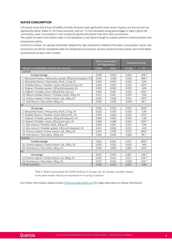# **WATER CONSUMPTION**

LCA results show that 8 from 20 (40%) of Violife Products have significantly lower water impacts, but the rest are not significantly better (table 3). For these scenarios, with an \* in the calculated saving percentages in table 3 given the uncertainty, water consumption is not considered significantly better than their dairy counterpart.

The quality of water consumption data in LCA databases is not robust enough to support external communications and comparative claims.

Contrary to cheese, for spreads and butter despite the high uncertainty related to the water consumption results, the conclusions can still be considered valid; the comparative conclusions are less sensitive to data choice, due to the higher concentration of dairy milk in butter.

|                                                                     | Water consumption<br>$(m3/kg$ product) |       | Calculated savings |           |
|---------------------------------------------------------------------|----------------------------------------|-------|--------------------|-----------|
| PRODUCTS COMPARED (Violife/ dairy cheese)                           | Violife                                | Dairy | $m3$ /kg           | %         |
| <b>EUROPE</b>                                                       |                                        |       |                    |           |
| Europe average                                                      | 0.030                                  | 0.054 | 0.024              | $-45%$ *  |
| 1. Mozzarella flavour / Mozzarella, grated, 200 g (old doypack), EU | 0.030                                  | 0.058 | 0.028              | $-48\%$ * |
| 2. Mozzarella flavour / Mozzarella, block, 2.5 kg, EU               | 0.026                                  | 0.054 | 0.028              | $-52%$    |
| 4. Cheddar flavour / Cheddar, sliced, 200 g (hard tray), EU         | 0.039                                  | 0.067 | 0.029              | $-42\%$ * |
| 6. Original / Cheddar, grated, 200 g (old doypack), EU              | 0.030                                  | 0.063 | 0.033              | $-52%$    |
| 8. Original / Cheddar, sliced, 200 g (hard tray), EU                | 0.039                                  | 0.067 | 0.029              | $-43\%$ * |
| 10. Mature cheddar flavour / Cheddar, block, 200 g, EU              | 0.027                                  | 0.061 | 0.034              | $-55%$    |
| 13. Creamy original / Cream cheese, tub, 200 g, EU                  | 0.024                                  | 0.039 | 0.015              | $-39\% *$ |
| 17. Feta flavour / Feta, block, 200 g, EU                           | 0.026                                  | 0.024 | $-0.002$           | $9\% *$   |
| <b>UK</b>                                                           |                                        |       |                    |           |
| UK average                                                          | 0.030                                  | 0.055 | 0.025              | $-45%$ *  |
| 3. Mozzarella flavour / Mozzarella, block, 2.5 kg, UK               | 0.026                                  | 0.054 | 0.029              | $-53%$    |
| 5. Cheddar flavour / Cheddar, sliced, 500 g (refi), UK              | 0.033                                  | 0.063 | 0.029              | $-47\%$ * |
| 7. Original / Cheddar, grated, 200 g (old doypack), UK              | 0.030                                  | 0.064 | 0.034              | $-53%$    |
| 9. Original / Cheddar, sliced, 200 g (hard tray), UK                |                                        | 0.068 | 0.029              | $-43%$ *  |
| 11. Epic mature / Cheddar, block, 200 g, UK                         |                                        | 0.061 | 0.031              | $-52%$    |
| 12. Epic mature / Cheddar, grated, 150 g (old doypack), UK          |                                        | 0.064 | 0.032              | $-51%$    |
| 14. Creamy original / Cream cheese, tub, 200 g, UK                  | 0.024                                  | 0.039 | 0.015              | $-40\%$ * |
| 18. Feta flavour / Feta, block, 200 g, UK                           | 0.026                                  | 0.024 | $-0.002$           | 9% *      |
| CANADA                                                              |                                        |       |                    |           |
| Canada average                                                      | 0.025                                  | 0.041 | 0.017              | $-40\%$ * |
| 16. Creamy original / Cream cheese, tub, 200 g, CA                  | 0.023                                  | 0.053 | 0.029              | $-56%$    |
| 20. Feta flavour / Feta, block, 200 g, CA                           | 0.026                                  | 0.030 | 0.004              | $-13%$ *  |
| US.                                                                 |                                        |       |                    |           |
| US average                                                          | 0.025                                  | 0.033 | 0.007              | $-23%$ *  |
| 15. Creamy original / Cream cheese, tub, 200 g, US                  | 0.024                                  | 0.041 | 0.017              | $-42\%$ * |
| 19. Feta flavour / Feta, block, 200 g, US                           | 0.027                                  | 0.024 | $-0.003$           | $11\% *$  |
| <b>TOTAL AVERAGE</b>                                                | 0.029                                  | 0.051 | 0.022              | $-43%$    |

Table 3. Water consumption for Violife Products in Europe, UK, US, Canada, and dairy cheese in the same market. Results are expressed in  $m^3$  per kg of product

<span id="page-7-0"></span>For further information, please contact [ESGinquiries@upfield.com](mailto:ESGinquiries@upfield.com) for vegan alternative to cheese information.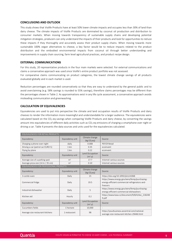## **CONCLUSIONS AND OUTLOOK**

This study shows that Violife Products have at least 50% lower climate impacts and occupies less than 30% of land than dairy cheese. The climate impacts of Violife Products are dominated by coconut oil production and distribution to consumer markets. When moving towards transparency of sustainable supply chains and developing potential mitigation strategies, producers can only understand the impacts of their products and look for opportunities to reduce these impacts if they thoroughly and accurately assess their product supply chains. When moving towards more sustainable 100% vegan alternatives to cheese, a key factor would be to reduce impacts related to the product distribution and the embodied environmental impacts from coconut oil through better understanding and improvements in supply chain sourcing, farm level agricultural practices, and product recipe design.

#### <span id="page-8-0"></span>**EXTERNAL COMMUNICATIONS**

For this study, 20 representative products in the four main markets were selected. For external communications and claims a conservative approach was used since Violife's entire product portfolio was not assessed.

For comparative claims communicating on product categories, the lowest climate change savings of all products evaluated globally and in each market is used.

Reduction percentages are rounded conservatively so that they are easy to understand by the general public and to avoid overclaiming (e.g. 58% savings is rounded to 55% savings), therefore claims percentages may be different than the percentages shown in Table 2. As approximations exist in any life cycle assessment, a conservative approach avoids misleading communication and greenwashing.

#### <span id="page-8-1"></span>**CALCULATION OF EQUIVALENCIES**

Equivalencies are used to put into perspective the climate and land occupation results of Violife Products and dairy cheeses to render the information more meaningful and understandable for a larger audience. The equivalencies were calculated based on the CO<sub>2</sub>-eq savings when comparing Violife Products and dairy cheese, by converting the savings amount into equivalencies of different daily activities such as CO<sub>2</sub>-eq emissions of charging a smartphone over night or driving a car. Table 4 presents the data sources and units used for the equivalencies calculated.

| <b>EQUIVALENCIES FOR RETAIL PRODUCTS</b> |                  |                                           |                                                                                                            |  |  |
|------------------------------------------|------------------|-------------------------------------------|------------------------------------------------------------------------------------------------------------|--|--|
| Equivalency                              | Equivalency unit | Climate change<br>(kg CO <sub>2</sub> eq) | Source                                                                                                     |  |  |
| Charging a phone over night              | daily            | 0.008                                     | <b>PFFCR Retail</b>                                                                                        |  |  |
| Driving a car (petrol car EURO 5)        | 1 km             | 0.35                                      | ecoinvent                                                                                                  |  |  |
| Flying by plane                          | 1 km             | 0.22                                      | ecoinvent                                                                                                  |  |  |
| Equivalency                              | Equivalency unit | Land Occupation<br>(m <sup>2</sup> .y)    | Source                                                                                                     |  |  |
| Average size of a parking spot           | m <sup>2</sup>   | 17.7                                      | Internet various sources                                                                                   |  |  |
| Average pizza size (14 in / 35 cm)       | m <sup>2</sup>   | 0.10                                      | Internet various sources                                                                                   |  |  |
| EQUIVALENCIES FOR PROFESSIONAL PRODUCTS  |                  |                                           |                                                                                                            |  |  |
| Equivalency                              | Equivalency unit | Climate change<br>(kg CO <sub>2</sub> eq) | Source                                                                                                     |  |  |
| 3 combi oven                             | Daily            | 15                                        | https://doi.org/10.1093/ijlct/ctt068                                                                       |  |  |
| Commercial fridge                        | Daily            | 19.5                                      | https://www.energy.gov/eere/femp/purchasing-<br>energy-efficient-commercial-refrigerators-and-<br>freezers |  |  |
| Industrial dishwasher                    | Daily            | 5                                         | https://www.energy.gov/eere/femp/purchasing-<br>energy-efficient-commercial-dishwashers                    |  |  |
| Kitchen aid                              | Hourly           | 0.2                                       | https://www.kasa.cz/document/9/8/4/doc_218248<br>9.pdf                                                     |  |  |
| Equivalency                              | Equivalency unit | Land Occupation<br>(m <sup>2</sup> .v)    | Source                                                                                                     |  |  |
| Cucumbers fields                         | 1 hectare        | 10,000                                    |                                                                                                            |  |  |
| Average size restaurant kitchens         | 1 restaurant     | 98                                        | https://yourbusiness.azcentral.com/national-<br>average-size-restaurant-kitchen-29446.html                 |  |  |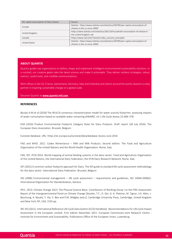| Per capita consumption of dairy cheese | Source                                                                           |
|----------------------------------------|----------------------------------------------------------------------------------|
| Europe                                 | Statista - https://www.statista.com/statistics/183785/per-capita-consumption-of- |
|                                        | cheese-in-the-us-since-2000/                                                     |
| United Kingdom                         | https://www.statista.com/statistics/281114/household-consumption-of-cheese-in-   |
|                                        | the-united-kingdom-uk/                                                           |
| Canada                                 | https://www.clal.it/en/?section=tabs consumi procapite                           |
| United States                          | Statista - https://www.statista.com/statistics/183785/per-capita-consumption-of- |
|                                        | cheese-in-the-us-since-2000/                                                     |

#### <span id="page-9-0"></span>**ABOUT QUANTIS**

Ī

Quantis guides top organizations to define, shape and implement intelligent environmental sustainability solutions. In a nutshell, our creative geeks take the latest science and make it actionable. They deliver resilient strategies, robust metrics, useful tools, and credible communications.

With offices in the US, France, Switzerland, Germany, Italy and Colombia and clients around the world, Quantis is a key partner in inspiring sustainable change on a global scale.

Discover Quantis at **[www.quantis-intl.com](http://www.quantis-intl.com/)**

#### <span id="page-9-1"></span>**REFERENCES**

Boulay A-M et al (2018) The WULCA consensus characterization model for water scarcity footprints: assessing impacts of water consumption based on available water remaining (AWARE). Int J Life Cycle Assess 23:368–378

EDA (2016) Product Environmental Footprint Category Rules for Dairy Products. Draft report (28 July 2016). The European Dairy Association. Brussels, Belgium

Eurostat database. URL:<https://ec.europa.eu/eurostat/data/database> Access June 2016

FAO and WHO. 2011. Codex Alimentarius – Milk and Milk Products. Second edition. The Food and Agriculture Organization of the United Nations and the World Health Organisation. Rome, Italy

FAO, IDF, IFCN 2014. World mapping of animal feeding systems in the dairy sector. Food and Agriculture Organisation of the United Nations, the International Dairy Federation, the IFCN Dairy Research Network. Rome, Italy

IDF (2015) A common carbon footprint approach for Dairy. The IDF guide to standard life cycle assessment methodology for the dairy sector. International Dairy Federation. Brussels, Belgium

ISO (2006) Environmental management – life cycle assessment – requirements and guidelines, ISO 14044:2006(E). International Organization for Standardization, Geneva

IPCC, 2013: Climate Change 2013: The Physical Science Basis. Contribution of Working Group I to the Fifth Assessment Report of the Intergovernmental Panel on Climate Change [Stocker, T.F., D. Qin, G.-K. Plattner, M. Tignor, S.K. Allen, J. Boschung, A. Nauels, Y. Xia, V. Bex and P.M. Midgley (eds.)]. Cambridge University Press, Cambridge, United Kingdom and New York, NY, USA, 1535 pp.

JRC-IES (2011). International Reference Life Cycle Data System (ILCD) Handbook- Recommendations for Life Cycle Impact Assessment in the European context. First edition November 2011. European Commission-Joint Research Centre - Institute for Environment and Sustainability. Publications Office of the European Union, Luxemburg